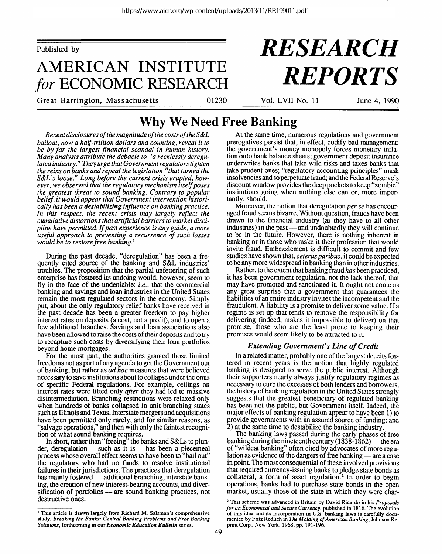Published by

## **AMERICAN INSTITUTE** *for* **ECONOMIC RESEARCH**

#### Great Barrington, Massachusetts 01230 Vol. LVII No. 11 June 4, 1990

# *RESEARCH REPORTS*

### **Why We Need Free Banking**

*Recent disclosures of the magnitude of the costs of the S&L bailout, now a half-trillion dollars and counting, reveal it to be by far the largest financial scandal in human history. Many analysts attribute the debacle to "a recklessly deregulated industry." They urge that Government regulators tighten the reins on banks and repeal the legislation "that turned the S&L's loose." Long before the current crisis erupted, however, we observed that the regulatory mechanism itself poses the greatest threat to sound banking. Contrary to popular belief, it would appear that Government intervention historically has been a destabilizing influence on banking practice. In this respect, the recent crisis may largely reflect the cumulative distortions that artificial barriers to market discipline have permitted. If past experience is any guide, a more useful approach to preventing a recurrence of such losses would be to restore free banking.<sup>1</sup>*

During the past decade, "deregulation" has been a frequently cited source of the banking and S&L industries' troubles. The proposition that the partial unfettering of such enterprise has fostered its undoing would, however, seem to fly in the face of the undeniable: *i.e.,* that the commercial banking and savings and loan industries in the United States remain the most regulated sectors in the economy. Simply put, about the only regulatory relief banks have received in the past decade has been a greater freedom to pay higher interest rates on deposits (a cost, not a profit), and to open a few additional branches. Savings and loan associations also have been allowed to raise the costs of their deposits and to try to recapture such costs by diversifying their loan portfolios beyond home mortgages.

For the most part, the authorities granted those limited freedoms not as part of any agenda to get the Government out of banking, but rather as *ad hoc* measures that were believed necessary to save institutions about to collapse under the onus of specific Federal regulations. For example, ceilings on interest rates were lifted only *after* they had led to massive disintermediation. Branching restrictions were relaxed only when hundreds of banks collapsed in unit branching states such as Illinois and Texas. Interstate mergers and acquisitions have been permitted only rarely, and for similar reasons, as "salvage operations," and then with only the faintest recognition of what sound banking requires.

In short, rather than "freeing" the banks and S&Ls to plunder, deregulation — such as it is — has been a piecemeal process whose overall effect seems to have been to "bail out" the regulators who had no funds to resolve institutional failures in their jurisdictions. The practices that deregulation has mainly fostered — additional branching, interstate banking, the creation of new interest-bearing accounts, and diversification of portfolios — are sound banking practices, not destructive ones.

At the same time, numerous regulations and government prerogatives persist that, in effect, codify bad management: the government's money monopoly forces monetary inflation onto bank balance sheets; government deposit insurance underwrites banks that take wild risks and taxes banks that take prudent ones; "regulatory accounting principles" mask insolvencies and so perpetuate fraud; and the Federal Reserve's discount window provides the deep pockets to keep "zombie" institutions going when nothing else can or, more importantly, should.

Moreover, the notion that deregulation *per se* has encouraged fraud seems bizarre. Without question, frauds have been drawn to the financial industry (as they have to all other industries) in the past — and undoubtedly they will continue to be in the future. However, there is nothing inherent in banking or in those who make it their profession that would invite fraud. Embezzlement is difficult to commit and few studies have shown that, *ceterusparibus,* it could be expected to be any more widespread in banking than in other industries.

Rather, to the extent that banking fraud *has* been practiced, it has been government regulation, not the lack thereof, that may have promoted and sanctioned it. It ought not come as any great surprise that a government that guarantees the liabilities of an entire industry invites the incompetent and the fraudulent. A liability is a promise to deliver some value. If a regime is set up that tends to remove the responsibility for delivering (indeed, makes it impossible to deliver) on that promise, those who are the least prone to keeping their promises would seem likely to be attracted to it.

#### *Extending Government's Line of Credit*

In a related matter, probably one of the largest deceits fostered in recent years is the notion that highly regulated banking is designed to serve the public interest. Although their supporters nearly always justify regulatory regimes as necessary to curb the excesses of both lenders and borrowers, the history of banking regulation in the United States strongly suggests that the greatest beneficiary of regulated banking has been not the public, but Government itself. Indeed, the major effects of banking regulation appear to have been 1) to provide governments with an assured source of funding; and 2) at the same time to destabilize the banking industry.

The banking laws passed during the early phases of free banking during the nineteenth century  $(1838-1862)$  — the era of "wildcat banking" often cited by advocates of more regulation as evidence of the dangers of free banking — are a case in point. The most consequential of these involved provisions that required currency-issuing banks to pledge state bonds as collateral, a form of asset regulation.<sup>2</sup> In order to begin operations, banks had to purchase state bonds in the open market, usually those of the state in which they were char-

<sup>&</sup>lt;sup>1</sup> This article is drawn largely from Richard M. Salsman's comprehensive study, *Breaking the Banks: Central Banking Problems and Free Banking Solutions,* forthcoming in our *Economic Education Bulletin* series.

*<sup>2</sup>* This scheme was advanced in Britain by David Ricardo in his *Proposals for an Economical and Secure Currency,* published in 1816. The evolution of this idea and its incorporation in U.S. banking laws is carefully documented by Fritz Redlich in *The Molding of American Banking,* Johnson Reprint Corp., New York, 1968, pp. 191-196.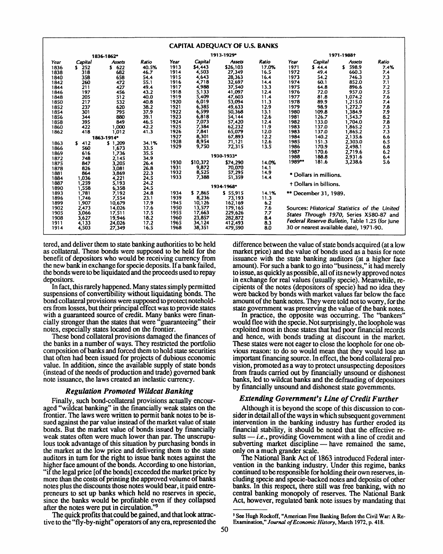|            |            |               |       |            |          | <b>CAPITAL ADEQUACY OF U.S. BANKS</b> |       |                                                |                        |               |       |  |
|------------|------------|---------------|-------|------------|----------|---------------------------------------|-------|------------------------------------------------|------------------------|---------------|-------|--|
|            | 1836-1862* |               |       | 1913-1929* |          |                                       |       | 1971-1988†                                     |                        |               |       |  |
| Year       | Capital    | <b>Assets</b> | Ratio | Year       | Capital  | <b>Assets</b>                         | Ratio | Year                                           | Capital                | <b>Assets</b> | Ratio |  |
| 1836       | $S$ 252    | 5622          | 40.5% | 1913       | \$4,443  | \$26,103                              | 17.0% | 1971                                           | 544.4                  | 598.9<br>s.   | 7.4%  |  |
| 1838       | 318        | 682           | 46.7  | 1914       | 4,503    | 27,349                                | 16.5  | 1972                                           | 49.4                   | 660.3         | 7.4   |  |
| 1840       | 358        | 658           | 54.4  | 1915       | 4,643    | 28,363                                | 16.4  | 1973                                           | 54.2                   | 746.3         | 7.3   |  |
| 1842       | 260        | 472           | 55.1  | 1916       | 4,718    | 32,697                                | 14.4  | 1974                                           | 60.1                   | 852.0         | 7.1   |  |
| 1844       | 211        | 427           | 49.4  | 1917       | 4,988    | 37,540                                | 13.3  | 1975                                           | 64.8                   | 896.6         | 7.2   |  |
| 1846       | 197        | 456           | 43.2  | 1918       | 5,133    | 41,097                                | 12.4  | 1976                                           | 72.0                   | 957.0         | 7.5   |  |
| 1848       | 205        | 512           | 40.0  | 1919       | 5,409    | 47,603                                | 11.4  | 1977                                           | 81.8                   | 1,074.2       | 7.6   |  |
| 1850       | 217        | 532           | 40.8  | 1920       | 6,019    | 53,094                                | 11.3  | 1978                                           | 89.9                   | 1,215.0       | 7.4   |  |
| 1852       | 237        | 620           | 38.2  | 1921       | 6,385    | 49,633                                | 12.9  | 1979                                           | 98.9                   | 1,272.7       | 7.8   |  |
| 1854       | 301        | 795           | 37.9  | 1922       | 6,599    | 50,368                                | 13.1  | 1980                                           | 109.8                  | 1,384.9       | 7.9   |  |
| 1856       | 344        | 880           | 39.1  | 1923       | 6,818    | 54,144                                | 12.6  | 1981                                           | 126.7                  | 1.543.7       | 8.2   |  |
| 1858       | 395        | 849           | 46.5  | 1924       | 7,073    | 57,420                                | 12.4  | 1982                                           | 133.0                  | 1,704.0       | 7.8   |  |
| 1860       | 422        | 1.000         | 42.2  | 1925       | 7,384    | 62,232                                | 11.9  | 1983                                           | 137.0                  | 1,865.2       | 7.3   |  |
| 1862       | 418        | 1,012         | 41.3  | 1926       | 7,841    | 65,079                                | 12.0  | 1983                                           | 137.0                  | 1,865.2       | 7.3   |  |
| 1863-1914* |            |               |       | 1927       | 8,301    | 67,893                                | 12.2  | 1984                                           | 140.2                  | 2,135.6       | 6.6   |  |
| 1863       | 412<br>\$. | \$1,209       | 34.1% | 1928       | 8,954    | 71,121                                | 12.6  | 1985                                           | 151.3                  | 2,303.0       | 6.5   |  |
| 1866       | 560        | 1,673         | 33.5  | 1929       | 9,750    | 72,315                                | 13.5  | 1986                                           | 170.9                  | 2,498.1       | 6.8   |  |
| 1869       | 616        | 1,736         | 35.5  |            |          |                                       |       | 1987                                           | 170.6                  | 2.719.6       | 6.2   |  |
| 1872       | 748        | 2,145         | 34.9  |            |          | 1930-1933*                            |       | 1988<br>188.8<br>2,931.6<br>6.4                |                        |               |       |  |
| 1875       | 847        | 3,205         | 26.4  | 1930       | \$10,372 | \$74,290                              | 14.0% | 1989**                                         | 181.6                  | 3.238.6       | 5.6   |  |
| 1878       | 826        | 3,081         | 26.8  | 1931       | 9,872    | 70,070                                | 14.1  |                                                |                        |               |       |  |
| 1881       | 864        | 3,869         | 22.3  | 1932       | 8,525    | 57,295                                | 14.9  | * Dollars in millions.                         |                        |               |       |  |
| 1884       | 1.036      | 4,221         | 24.5  | 1933       | 7,388    | 51,359                                | 14.4  |                                                |                        |               |       |  |
| 1887       | 1,259      | 5,193         | 24.2  |            |          |                                       |       |                                                | + Dollars in billions. |               |       |  |
| 1890       | 1,558      | 6,358         | 24.5  |            |          | 1934-1968*                            |       |                                                |                        |               |       |  |
| 1893       | 1.781      | 7,192         | 24.8  | 1934       | \$7.865  | \$55,915                              | 14.1% |                                                | ** December 31, 1989.  |               |       |  |
| 1896       | 1.746      | 7,554         | 23.1  | 1939       | 8,236    | 73,193                                | 11.3  |                                                |                        |               |       |  |
| 1899       | 1,907      | 10,679        | 17.9  | 1945       | 10,126   | 162,169                               | 6.2   |                                                |                        |               |       |  |
| 1902       | 2.473      | 14,026        | 17.6  | 1950       | 13,577   | 179.165                               | 7.6   | Sources: Historical Statistics of the United   |                        |               |       |  |
| 1905       | 3,066      | 17,511        | 17.5  | 1955       | 17,663   | 229,626                               | 7.7   | States Through 1970, Series X580-87 and        |                        |               |       |  |
| 1908       | 3.627      | 19,946        | 18.2  | 1960       | 23,857   | 282,872                               | 8.4   |                                                |                        |               |       |  |
| 1911       | 4.133      | 24,026        | 17.2  | 1965       | 34,124   | 412,493                               | 8.3   | Federal Reserve Bulletin, Table 1.25 (for June |                        |               |       |  |
| 1914       | 4,503      | 27,349        | 16.5  | 1968       | 38,351   | 479,590                               | 8.0   | 30 or nearest available date), 1971-90.        |                        |               |       |  |

tered, and deliver them to state banking authorities to be held as collateral. These bonds were supposed to be held for the benefit of depositors who would be receiving currency from the new bank in exchange for specie deposits. If a bank failed, the bonds were to be liquidated and the proceeds used to repay depositors.

In fact, this rarely happened. Many states simply permitted suspensions of convertibility without liquidating bonds. The bond collateral provisions were supposed to protect noteholders from losses, but their principal effect was to provide states with a guaranteed source of credit. Many banks were financially stronger than the states that were "guaranteeing" their notes, especially states located on the frontier.

These bond collateral provisions damaged the finances of the banks in a number of ways. They restricted the portfolio composition of banks and forced them to hold state securities that often had been issued for projects of dubious economic value. In addition, since the available supply of state bonds (instead of the needs of production and trade) governed bank note issuance, the laws created an inelastic currency.

#### *Regulation Promoted Wildcat Banking*

Finally, such bond-collateral provisions actually encouraged "wildcat banking" in the financially weak states on the frontier. The laws were written to permit bank notes to be issued against the par value instead of the market value of state bonds. But the market value of bonds issued by financially weak states often were much lower than par. The unscrupulous took advantage of this situation by purchasing bonds in the market at the low price and delivering them to the state auditors in turn for the right to issue bank notes against the higher face amount of the bonds. According to one historian, "if the legal price [of the bonds] exceeded the market price by more than the costs of printing the approved volume of banks notes plus the discounts those notes would bear, it paid entrepreneurs to set up banks which held no reserves in specie, since the banks would be profitable even if they collapsed after the notes were put in circulation."<sup>3</sup>

The quick profits that could be gained, and that look attractive to the "fly-by-night" operators of any era, represented the difference between the value of state bonds acquired (at a low market price) and the value of bonds used as a basis for note issuance with the state banking auditors (at a higher face amount). For such a bank to go into "business," it had merely to issue, as quickly as possible, all of its newly approved notes in exchange for real values (usually specie). Meanwhile, recipients of the notes (depositors of specie) had no idea they were backed by bonds with market values far below the face amount of the bank notes. They were told not to worry, for the state government was preserving the value of the bank notes.

In practice, the opposite was occurring. The "bankers" would flee with the specie. Not surprisingly, the loophole was exploited most in those states that had poor financial records and hence, with bonds trading at discount in the market. These states were not eager to close the loophole for one obvious reason: to do so would mean that they would lose an important financing source. In effect, the bond collateral provision, promoted as a way to protect unsuspecting depositors from frauds carried out by financially unsound or dishonest banks, led to wildcat banks and the defrauding of depositors by financially unsound and dishonest state governments.

#### *Extending Government's Line of Credit Further*

Although it is beyond the scope of this discussion to consider in detail all of the ways in which subsequent government intervention in the banking industry has further eroded its financial stability, it should be noted that the effective results — *i.e.*, providing Government with a line of credit and subverting market discipline — have remained the same, only on a much grander scale.

The National Bank Act of 1863 introduced Federal intervention in the banking industry. Under this regime, banks continued to be responsible for holding their own reserves, including specie and specie-backed notes and deposits of other banks. In this respect, there still was free banking, with no central banking monopoly of reserves. The National Bank Act, however, regulated bank note issues by mandating that

**<sup>&#</sup>x27; See Hugh Rockoff, "American Free Banking Before the Civil War: A Re-Examination,"** *Journal of Economic History,* **March 1972, p. 418.**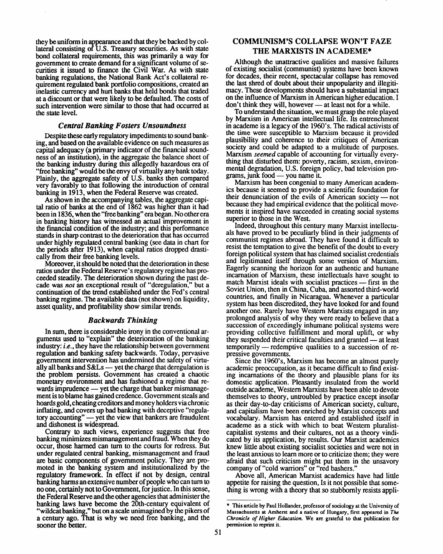they be uniform in appearance and that they be backed by collateral consisting of U.S. Treasury securities. As with state bond collateral requirements, this was primarily a way for government to create demand for a significant volume of securities it issued to finance the Civil War. As with state banking regulations, the National Bank Act's collateral requirement regulated bank portfolio compositions, created an inelastic currency and hurt banks that held bonds that traded at a discount or that were likely to be defaulted. The costs of such intervention were similar to those that had occurred at the state level.

#### *Central Banking Fosters Unsoundness*

Despite these early regulatory impediments to sound banking, and based on the available evidence on such measures as capital adequacy (a primary indicator of the financial soundness of an institution), in the aggregate the balance sheet of the banking industry during this allegedly hazardous era of "free banking" would be the envy of virtually any bank today. Plainly, the aggregate safety of U.S. banks then compared very favorably to that following the introduction of central banking in 1913, when the Federal Reserve was created.

As shown in the accompanying tables, the aggregate capital ratio of banks at the end of 1862 was higher than it had been in 1836, when the "free banking" era began. No other era in banking history has witnessed an actual improvement in the financial condition of the industry; and this performance stands in sharp contrast to the deterioration that has occurred under highly regulated central banking (see data in chart for the periods after 1913), when capital ratios dropped drastically from their free banking levels.

Moreover, it should be noted that the deterioration in these ratios under the Federal Reserve's regulatory regime has proceeded steadily. The deterioration shown during the past decade was *not* an exceptional result of "deregulation," but a continuation of the trend established under the Fed's central banking regime. The available data (not shown) on liquidity, asset quality, and profitability show similar trends.

#### *Backwards Thinking*

In sum, there is considerable irony in the conventional arguments used to "explain" the deterioration of the banking industry: *i.e., they* have the relationship between government regulation and banking safety backwards. Today, pervasive government intervention has undermined the safety of virtually all banks and S&Ls — yet the charge that deregulation is the problem persists. Government has created a chaotic monetary environment and has fashioned a regime that rewards imprudence — yet the charge that banker mismanagement is to blame has gained credence. Government steals and hoards gold, cheating creditors and money holders via chronic inflating, and covers up bad banking with deceptive "regulatory accounting" — yet the view that bankers are fraudulent and dishonest is widespread.

Contrary to such views, experience suggests that free banking minimizes mismanagement and fraud. When they do occur, those harmed can turn to the courts for redress. But under regulated central banking, mismanagement and fraud are basic components of government policy. They are promoted in the banking system and institutionalized by the regulatory framework. In effect if not by design, central banking harms an extensive number of people who can turn to no one, certainly not to Government, for justice. In this sense, the Federal Reserve and the other agencies that administer the banking laws have become the 20th-century equivalent of "wildcat banking," but on a scale unimagined by the pikers of a century ago. That is why we need free banking, and the sooner the better.

#### **COMMUNISM'S COLLAPSE WON'T FAZE THE MARXISTS IN ACADEME\***

Although the unattractive qualities and massive failures of existing socialist (communist) systems have been known for decades, their recent, spectacular collapse has removed the last shred of doubt about their unpopularity and illegitimacy. These developments should have a substantial impact on the influence of Marxism in American higher education. I don't think they will, however — at least not for a while.

To understand the situation, we must grasp the role played by Marxism in American intellectual life. Its entrenchment in academe is a legacy of the 1960's. The radical activists of the time were susceptible to Marxism because it provided plausibility and coherence to their critiques of American society and could be adapted to a multitude of purposes. Marxism *seemed* capable of accounting for virtually everything that disturbed them: poverty, racism, sexism, environmental degradation, U.S. foreign policy, bad television programs, junk food — you name it.

Marxism has been congenial to many American academics because it seemed to provide a scientific foundation for their denunciation of the evils of American society — not because they had empirical evidence that the political movements it inspired have succeeded in creating social systems superior to those in the West.

Indeed, throughout this century many Marxist intellectuals have proved to be peculiarly blind in their judgments of communist regimes abroad. They have found it difficult to resist the temptation to give the benefit of the doubt to every foreign political system that has claimed socialist credentials and legitimated itself through some version of Marxism. Eagerly scanning the horizon for an authentic and humane incarnation of Marxism, these intellectuals have sought to match Marxist ideals with socialist practices — first in the Soviet Union, then in China, Cuba, and assorted third-world countries, and finally in Nicaragua. Whenever a particular system has been discredited, they have looked for and found another one. Rarely have Western Marxists engaged in any prolonged analysis of why they were ready to believe that a succession of exceedingly inhumane political systems were providing collective fulfillment and moral uplift, or why they suspended their critical faculties and granted — at least temporarily — redemptive qualities to a succession of repressive governments.

Since the 1960's, Marxism has become an almost purely academic preoccupation, as it became difficult to find existing incarnations of the theory and plausible plans for its domestic application. Pleasantly insulated from the world outside academe, Western Marxists have been able to devote themselves to theory, untroubled by practice except insofar as their day-to-day criticisms of American society, culture, and capitalism have been enriched by Marxist concepts and vocabulary. Marxism has entered and established itself in academe as a stick with which to beat Western pluralistcapitalist systems and their cultures, not as a theory vindicated by its application, by results. Our Marxist academics knew little about existing socialist societies and were not in the least anxious to learn more or to criticize them; they were afraid that such criticism might put them in the unsavory company of "cold warriors" or "red bashers."

Above all, American Marxist academics have had little appetite for raising the question, Is it not possible that something is wrong with a theory that so stubbornly resists appli-

**<sup>\*</sup> This article by Paul Hollander, professor of sociology at the University of Massachusetts at Amherst and a native of Hungary, first appeared in** *The Chronicle of Higher Education.* **We are grateful to that publication for permission to reprint it.**